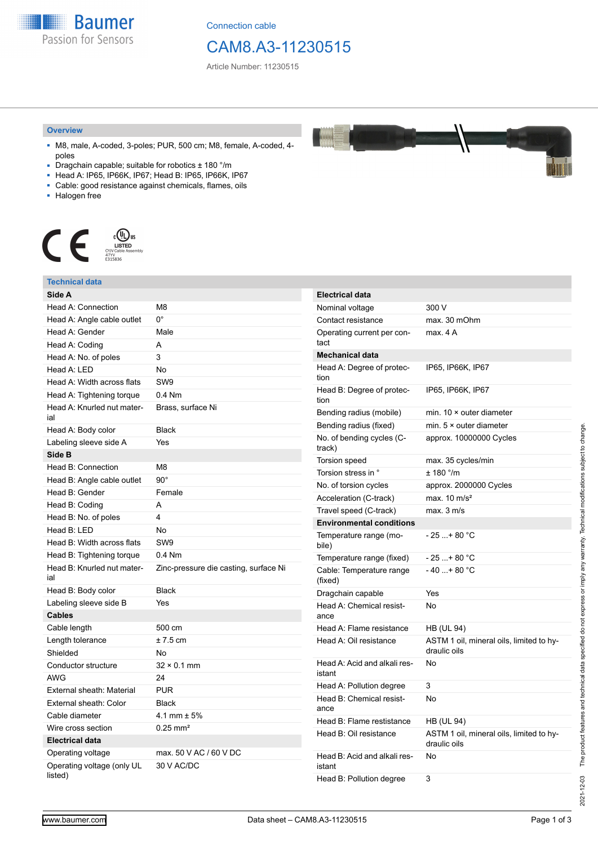**Baumer** Passion for Sensors

Connection cable

## CAM8.A3-11230515

Article Number: 11230515

#### **Overview**

- M8, male, A-coded, 3-poles; PUR, 500 cm; M8, female, A-coded, 4 poles
- Dragchain capable; suitable for robotics  $\pm$  180 °/m
- Head A: IP65, IP66K, IP67; Head B: IP65, IP66K, IP67
- Cable: good resistance against chemicals, flames, oils
- Halogen free



#### **Technical data Side A** Head A: Connection M8 Head A: Angle cable outlet 0° Head A: Gender Male Head A: Coding A Head A: No. of poles 3 Head A: LED No. Head A: Width across flats SW9 Head A: Tightening torque 0.4 Nm Head A: Knurled nut material Brass, surface Ni Head A: Body color Black Labeling sleeve side A Yes **Side B** Head B: Connection M8 Head B: Angle cable outlet 90° Head B: Gender Female Head B: Coding A Head B: No. of poles 4 Head B: LED No Head B: Width across flats SW9 Head B: Tightening torque 0.4 Nm Head B: Knurled nut material Zinc-pressure die casting, surface Ni Head B: Body color Black Labeling sleeve side B Yes **Cables** Cable length 500 cm Length tolerance  $\pm 7.5$  cm Shielded No Conductor structure 32 × 0.1 mm AWG 24 External sheath: Material PUR External sheath: Color Black Cable diameter 4.1 mm ± 5% Wire cross section 0.25 mm<sup>2</sup> **Electrical data** Operating voltage max. 50 V AC / 60 V DC Operating voltage (only UL listed) 30 V AC/DC **Electrical data** Nominal voltage 300 V Contact resistance max. 30 mOhm Operating current per contact max. 4 A **Mechanical data** Head A: Degree of protection IP65, IP66K, IP67 Head B: Degree of protection IP65, IP66K, IP67 Bending radius (mobile) min. 10 × outer diameter Bending radius (fixed) min. 5 × outer diameter No. of bending cycles (Ctrack) approx. 10000000 Cycles Torsion speed max. 35 cycles/min Torsion stress in °  $\pm$  180 °/m No. of torsion cycles approx. 2000000 Cycles Acceleration (C-track) max. 10 m/s<sup>2</sup> Travel speed (C-track) max. 3 m/s **Environmental conditions** Temperature range (mobile)  $-25 + 80 °C$ Temperature range (fixed)  $-25...+80$  °C Cable: Temperature range (fixed)  $-40...+80 °C$ Dragchain capable Yes Head A: Chemical resistance No Head A: Flame resistance HB (UL 94) Head A: Oil resistance ASTM 1 oil, mineral oils, limited to hydraulic oils Head A: Acid and alkali resistant No Head A: Pollution degree 3 Head B: Chemical resistance No Head B: Flame restistance HB (UL 94) Head B: Oil resistance ASTM 1 oil, mineral oils, limited to hydraulic oils Head B: Acid and alkali resistant No Head B: Pollution degree 3

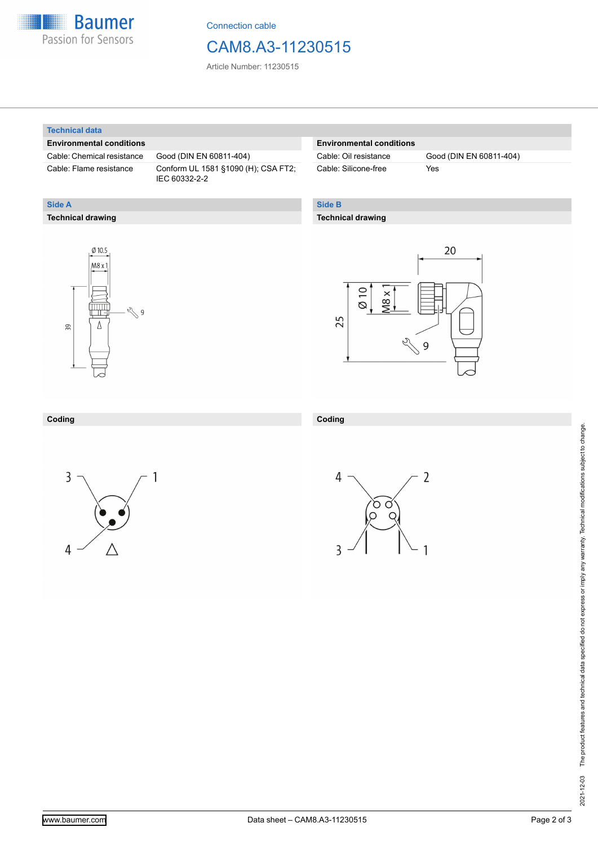

Connection cable

### CAM8.A3-11230515

Article Number: 11230515

#### **Technical data**

**Technical drawing**

**Side A**

### **Environmental conditions**

Cable: Chemical resistance Good (DIN EN 60811-404)

Cable: Flame resistance Conform UL 1581 §1090 (H); CSA FT2; IEC 60332-2-2

#### **Environmental conditions**

Cable: Silicone-free Yes

Cable: Oil resistance Good (DIN EN 60811-404)

### **Side B**

### **Technical drawing**





#### **Coding**